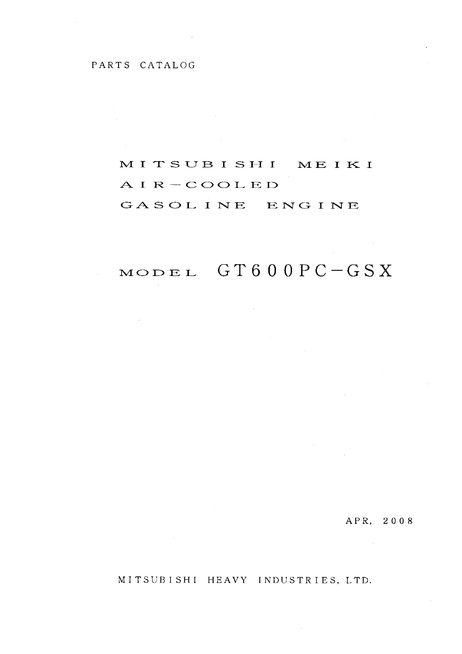#### PARTS CATALOG

 $\sim 10^{-10}$ 

 $\frac{1}{2}$ 

#### MITSUBISHI MEIKI

#### $AIR-COOLED$

GASOLINE ENGINE

## $\begin{array}{lll} \text{mod} \, \text{et} & \text{G} \, \text{T} \, \text{6} \, \text{0} \, \text{0} \, \text{P} \, \text{C} - \text{G} \, \text{S} \, \text{X} \end{array}$

 $\sim 10^{11}$  km  $^{-1}$ 

 $\mathcal{L}_{\mathrm{eff}}$ 

APR, 2008

 $\sim$ 

MITSUBISHI HEAVY INDUSTRIES, LTD.

 $\sim 10^{-1}$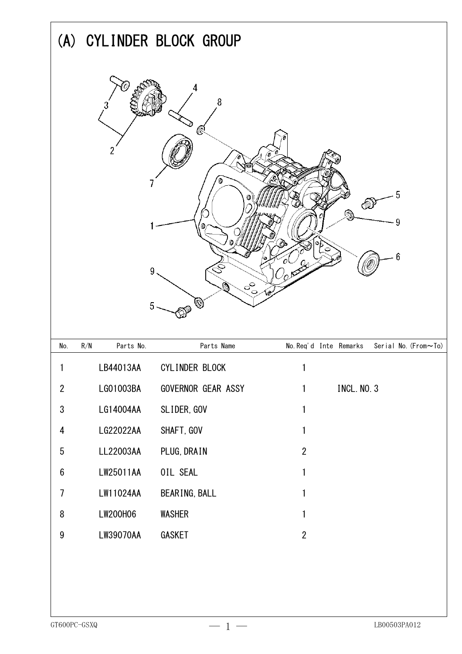|                         |                  | (A) CYLINDER BLOCK GROUP |                                                |
|-------------------------|------------------|--------------------------|------------------------------------------------|
|                         | 9<br>5           | 8<br>@<br>$\sigma$       | 5<br>9<br>6                                    |
| No.                     | Parts No.<br>R/N | Parts Name               | No. Req'd Inte Remarks<br>Serial No. (From~To) |
| 1                       | LB44013AA        | CYLINDER BLOCK           | 1                                              |
| $\overline{2}$          | LG01003BA        | GOVERNOR GEAR ASSY       | INCL. NO. 3<br>1                               |
| $\sqrt{3}$              | LG14004AA        | SLIDER, GOV              | 1                                              |
| $\overline{\mathbf{4}}$ | LG22022AA        | SHAFT, GOV               | 1                                              |
| $\sqrt{5}$              | LL22003AA        | PLUG, DRAIN              | $\overline{2}$                                 |
| $\boldsymbol{6}$        | LW25011AA        | OIL SEAL                 | 1                                              |
| $\overline{1}$          | LW11024AA        | BEARING, BALL            | 1                                              |
| $\, 8$                  | LW200H06         | <b>WASHER</b>            | 1                                              |
| $\boldsymbol{9}$        | LW39070AA        | GASKET                   | $\overline{2}$                                 |
| GT600PC-GSXQ            |                  | $-1-$                    | LB00503PA012                                   |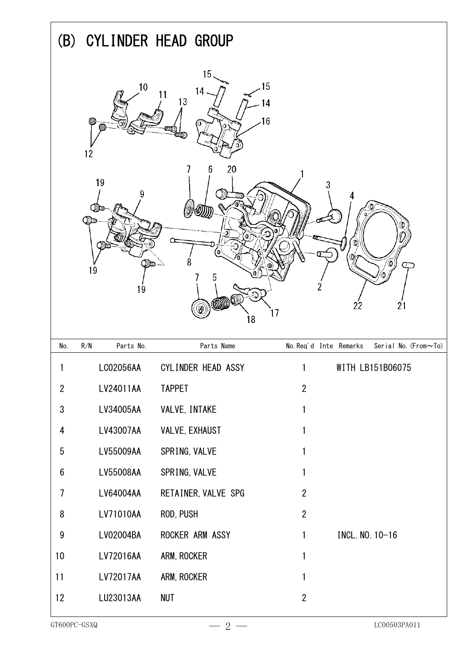|                  |                                                | (B) CYLINDER HEAD GROUP                                  |                                                                                 |
|------------------|------------------------------------------------|----------------------------------------------------------|---------------------------------------------------------------------------------|
|                  | 10<br>12<br>19<br>9<br>Ø<br>مسلالا<br>19<br>19 | 15.<br>14<br>13<br>20<br>ö<br>W)<br>⋒<br>ര<br>b<br>((W)) | 15<br>4<br>16<br>3<br>0<br>ര<br>2<br>$\hat{\mathbb{Q}}$<br>22<br>21<br>17<br>18 |
| No.              | Parts No.<br>R/N                               | Parts Name                                               | No. Req'd Inte Remarks<br>Serial No. (From~To)                                  |
|                  | LC02056AA                                      | CYLINDER HEAD ASSY                                       | WITH LB151B06075                                                                |
| $\overline{2}$   | LV24011AA                                      | <b>TAPPET</b>                                            | $\overline{2}$                                                                  |
| $\sqrt{3}$       | LV34005AA                                      | VALVE, INTAKE                                            | 1                                                                               |
| 4                | LV43007AA                                      | VALVE, EXHAUST                                           | 1                                                                               |
| $\overline{5}$   | LV55009AA                                      | SPRING, VALVE                                            | 1                                                                               |
| $\boldsymbol{6}$ | LV55008AA                                      | SPRING, VALVE                                            | 1                                                                               |
| $\overline{1}$   | LV64004AA                                      | RETAINER, VALVE SPG                                      | $\overline{2}$                                                                  |
| $\, 8$           | LV71010AA                                      | ROD, PUSH                                                | $\overline{2}$                                                                  |
| $\boldsymbol{9}$ | LV02004BA                                      | ROCKER ARM ASSY                                          | INCL. NO. 10-16<br>$\mathbf{1}$                                                 |
| 10               | LV72016AA                                      | ARM, ROCKER                                              | 1                                                                               |
| 11               | LV72017AA                                      | ARM, ROCKER                                              | 1                                                                               |
| 12               | LU23013AA                                      | <b>NUT</b>                                               | $\overline{2}$                                                                  |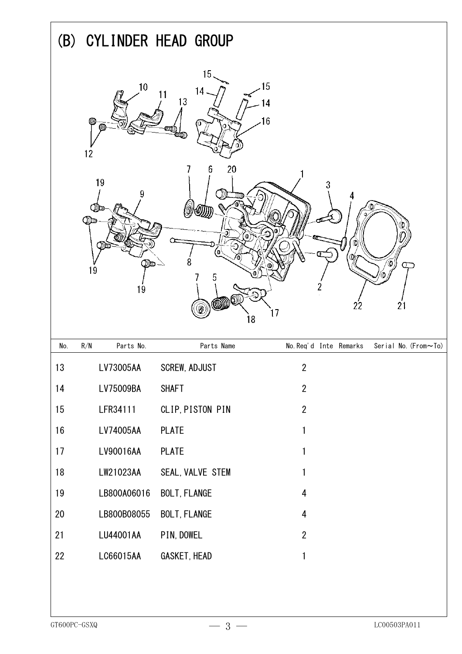|     | (B) CYLINDER HEAD GROUP                                |                                                  |                                                                                                  |
|-----|--------------------------------------------------------|--------------------------------------------------|--------------------------------------------------------------------------------------------------|
|     | 10<br>12<br>19<br>9<br>$\mathbb{Q}$<br>O)u<br>19<br>19 | 15,<br>14<br>13<br>O<br>20<br>b<br>D.<br>5<br>mw | 15<br>$6\,$<br>Φ<br>⋒<br>0<br>Ω<br>O<br>2<br>$\ddot{\odot}$<br>$\overline{21}$<br>22<br>17<br>18 |
| No. | Parts No.<br>R/N                                       | Parts Name                                       | No. Req'd Inte Remarks<br>Serial No. (From~To)                                                   |
| 13  | LV73005AA                                              | SCREW, ADJUST                                    | $\overline{c}$                                                                                   |
| 14  | LV75009BA                                              | <b>SHAFT</b>                                     | $\overline{2}$                                                                                   |
| 15  | LFR34111                                               | CLIP, PISTON PIN                                 | $\overline{2}$                                                                                   |
| 16  | LV74005AA                                              | <b>PLATE</b>                                     | $\mathbf{1}$                                                                                     |
| 17  | LV90016AA                                              | <b>PLATE</b>                                     | $\mathbf{1}$                                                                                     |
| 18  | LW21023AA                                              | SEAL, VALVE STEM                                 | 1                                                                                                |
| 19  | LB800A06016                                            | <b>BOLT, FLANGE</b>                              | 4                                                                                                |
| 20  | LB800B08055                                            | <b>BOLT, FLANGE</b>                              | 4                                                                                                |
| 21  | LU44001AA                                              | PIN, DOWEL                                       | $\overline{2}$                                                                                   |
| 22  | LC66015AA                                              | GASKET, HEAD                                     | $\mathbf{1}$                                                                                     |
|     |                                                        |                                                  |                                                                                                  |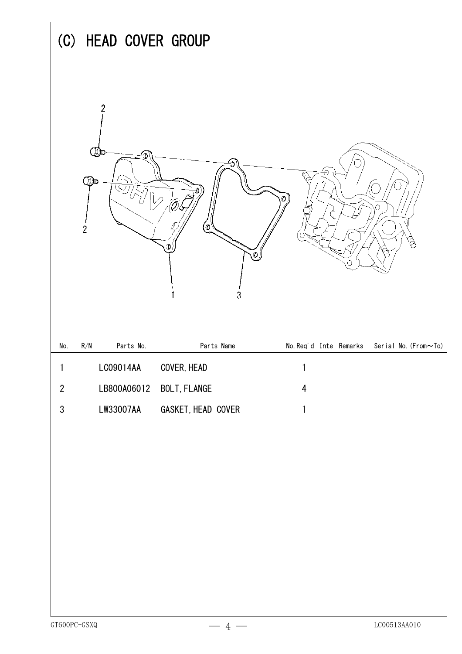|              | (C) HEAD COVER GROUP                                       |                          |                                                |
|--------------|------------------------------------------------------------|--------------------------|------------------------------------------------|
|              | $\overline{2}$<br>$\bigoplus$<br>מסי (בו<br>$\overline{c}$ | Э<br>(O<br>Ф<br>3        | Ø<br>O                                         |
| No.          | Parts No.<br>$\mathsf{R}/\mathsf{N}$                       | Parts Name               | No. Req'd Inte Remarks<br>Serial No. (From~To) |
| 1            | LC09014AA                                                  | COVER, HEAD              | 1                                              |
| $\mathbf{2}$ |                                                            | LB800A06012 BOLT, FLANGE | $\overline{\mathbf{4}}$                        |
| $\sqrt{3}$   | LW33007AA                                                  | GASKET, HEAD COVER       | $\mathbf{1}$                                   |
|              |                                                            |                          |                                                |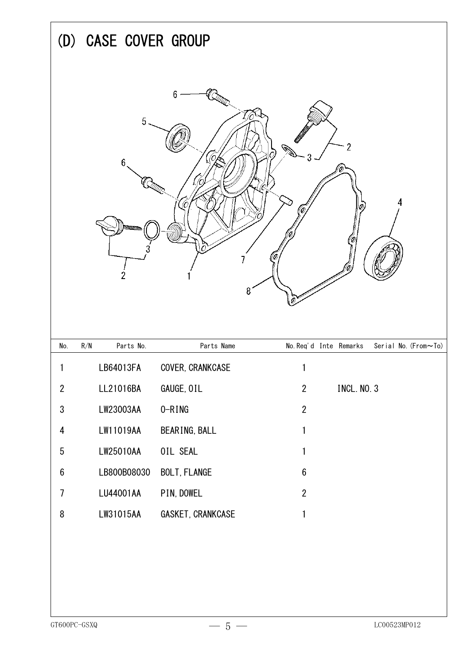|                  | (D) CASE COVER GROUP                 |                     |                                                |
|------------------|--------------------------------------|---------------------|------------------------------------------------|
|                  |                                      |                     |                                                |
|                  | 5<br>6<br>2                          | 6<br>8              | 2                                              |
| No.              | $\mathsf{R}/\mathsf{N}$<br>Parts No. | Parts Name          | No. Req'd Inte Remarks<br>Serial No. (From~To) |
| 1                | LB64013FA                            | COVER, CRANKCASE    | 1                                              |
| $\boldsymbol{2}$ | LL21016BA                            | GAUGE, OIL          | <b>INCL. NO. 3</b><br>$\overline{2}$           |
| $\mathfrak{S}$   | LW23003AA                            | O-RING              | $\overline{2}$                                 |
| 4                | LW11019AA                            | BEARING, BALL       | 1                                              |
| $\overline{5}$   | LW25010AA                            | OIL SEAL            | 1                                              |
| $\boldsymbol{6}$ | LB800B08030                          | <b>BOLT, FLANGE</b> | $\boldsymbol{6}$                               |
| $\overline{7}$   | LU44001AA                            | PIN, DOWEL          | $\overline{2}$                                 |
| 8                | LW31015AA                            | GASKET, CRANKCASE   | $\mathbf{1}$                                   |
|                  |                                      |                     |                                                |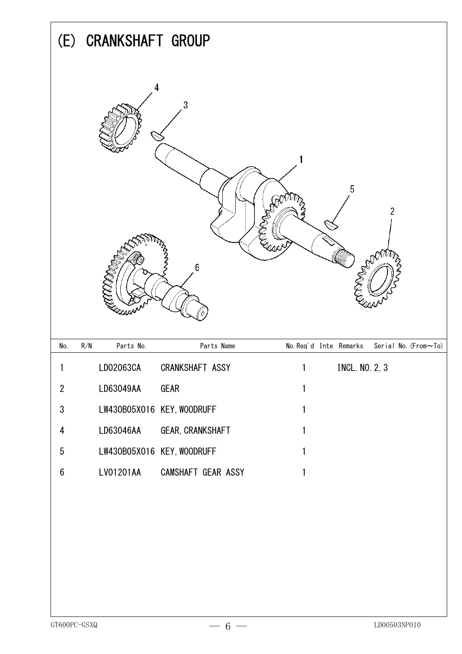|                         | (E) CRANKSHAFT GROUP                 |                                      |                                                     |
|-------------------------|--------------------------------------|--------------------------------------|-----------------------------------------------------|
|                         | 4                                    | 3<br>6                               | 5<br><b>PARTIC</b><br>$\overline{2}$<br><b>PADO</b> |
| No.                     | Parts No.<br>$\mathsf{R}/\mathsf{N}$ | Parts Name                           | No. Req'd Inte Remarks<br>Serial No. (From~To)      |
| 1                       | LD02063CA                            | CRANKSHAFT ASSY                      | <b>INCL. NO. 2, 3</b><br>1                          |
| $\overline{2}$          | LD63049AA                            | <b>GEAR</b>                          | 1                                                   |
| $\sqrt{3}$              |                                      | LW430B05X016 KEY, WOODRUFF           | 1                                                   |
| $\overline{\mathbf{4}}$ | LD63046AA                            | GEAR, CRANKSHAFT                     | 1                                                   |
| $\sqrt{5}$              |                                      | LW430B05X016 KEY, WOODRUFF           | 1                                                   |
| $6\,$                   | LV01201AA                            | CAMSHAFT GEAR ASSY                   | 1                                                   |
|                         |                                      |                                      |                                                     |
|                         |                                      |                                      |                                                     |
|                         |                                      |                                      |                                                     |
|                         |                                      |                                      |                                                     |
|                         |                                      |                                      |                                                     |
| GT600PC-GSXQ            |                                      | $6 -$<br>$\overbrace{\hspace{15em}}$ | LD00503NP010                                        |

 $\mathbf{r}$ 

h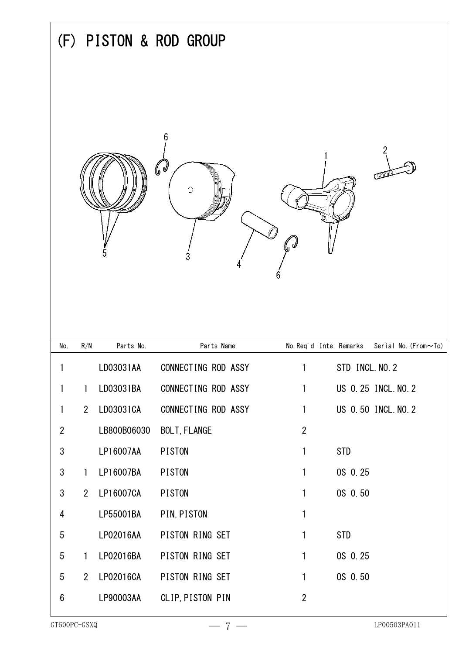|                  | PISTON & ROD GROUP<br>(F) |             |                                         |                        |                      |  |
|------------------|---------------------------|-------------|-----------------------------------------|------------------------|----------------------|--|
|                  |                           |             | $\mathbb{C}^{\mathbb{Z}}$<br>$\bigcirc$ | (ज                     | ᡂ                    |  |
| No.              | R/N                       | Parts No.   | Parts Name                              | No. Req'd Inte Remarks | Serial No. (From~To) |  |
| 1                |                           | LD03031AA   | CONNECTING ROD ASSY                     | 1                      | STD INCL. NO. 2      |  |
| $\mathbf{1}$     | $\mathbf{1}$              | LD03031BA   | CONNECTING ROD ASSY                     | $\mathbf{1}$           | US 0.25 INCL. NO. 2  |  |
| $\mathbf{1}$     | 2 <sup>1</sup>            | LD03031CA   | CONNECTING ROD ASSY                     | $\mathbf{1}$           | US 0.50 INCL. NO. 2  |  |
| $\overline{2}$   |                           | LB800B06030 | <b>BOLT, FLANGE</b>                     | $\overline{2}$         |                      |  |
| $\sqrt{3}$       |                           | LP16007AA   | <b>PISTON</b>                           | $\mathbf{1}$           | <b>STD</b>           |  |
| $\mathfrak{S}$   | $\mathbf{1}$              | LP16007BA   | <b>PISTON</b>                           | $\mathbf{1}$           | OS 0.25              |  |
| $\mathfrak{S}$   | 2 <sup>1</sup>            | LP16007CA   | <b>PISTON</b>                           | $\mathbf{1}$           | OS 0.50              |  |
| 4                |                           | LP55001BA   | PIN, PISTON                             | $\mathbf{1}$           |                      |  |
| $\sqrt{5}$       |                           | LP02016AA   | PISTON RING SET                         | $\mathbf{1}$           | <b>STD</b>           |  |
| $\sqrt{5}$       | $\mathbf{1}$              | LP02016BA   | PISTON RING SET                         | $\mathbf{1}$           | OS 0.25              |  |
| 5                | 2 <sup>1</sup>            | LP02016CA   | PISTON RING SET                         | $\mathbf{1}$           | OS 0.50              |  |
| $\boldsymbol{6}$ |                           | LP90003AA   | CLIP, PISTON PIN                        | $\overline{2}$         |                      |  |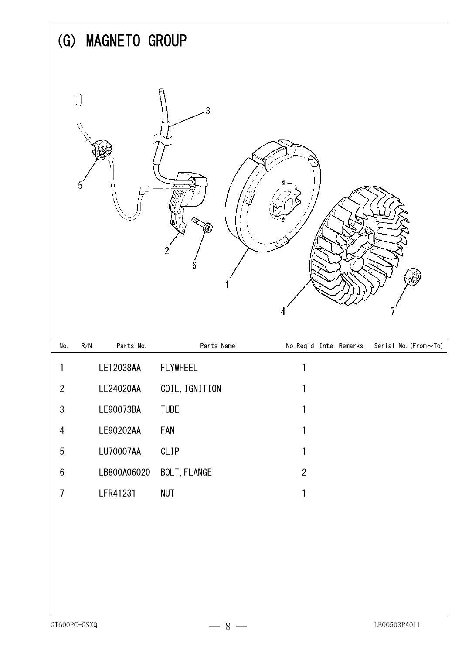|                         | <b>MAGNETO GROUP</b><br>$\left( \mathbf{G}\right)$ |                     |                                                |  |  |
|-------------------------|----------------------------------------------------|---------------------|------------------------------------------------|--|--|
|                         | 5                                                  | 3<br>دەرا<br>2<br>6 |                                                |  |  |
| No.                     | $\mathsf{R}/\mathsf{N}$<br>Parts No.               | Parts Name          | No. Req'd Inte Remarks<br>Serial No. (From~To) |  |  |
| 1                       | LE12038AA                                          | <b>FLYWHEEL</b>     | 1                                              |  |  |
| $\boldsymbol{2}$        | LE24020AA                                          | COIL, IGNITION      | 1                                              |  |  |
| $\mathfrak{S}$          | LE90073BA                                          | <b>TUBE</b>         | 1                                              |  |  |
| $\overline{\mathbf{4}}$ | LE90202AA                                          | FAN                 | 1                                              |  |  |
| $\sqrt{5}$              | LU70007AA                                          | CLIP                | 1                                              |  |  |
| $\boldsymbol{6}$        | LB800A06020                                        | <b>BOLT, FLANGE</b> | $\mathbf{2}$                                   |  |  |
| $\overline{7}$          | LFR41231                                           | <b>NUT</b>          | 1                                              |  |  |
|                         |                                                    |                     |                                                |  |  |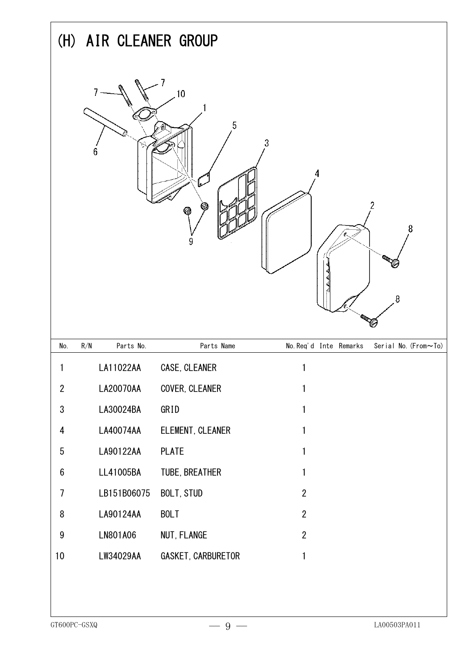|                          | (H) AIR CLEANER GROUP |                    |                                                |  |  |  |
|--------------------------|-----------------------|--------------------|------------------------------------------------|--|--|--|
|                          | 6                     | 10<br>5<br>Vđ<br>9 | $\mathfrak{Z}$<br>2<br>8<br>8                  |  |  |  |
| No.                      | Parts No.<br>R/N      | Parts Name         | No. Req'd Inte Remarks<br>Serial No. (From~To) |  |  |  |
| 1                        | LA11022AA             | CASE, CLEANER      | 1                                              |  |  |  |
| $\overline{2}$           | LA20070AA             | COVER, CLEANER     | $\mathbf{1}$                                   |  |  |  |
| $\sqrt{3}$               | LA30024BA             | GRID               | $\mathbf{1}$                                   |  |  |  |
| $\overline{\mathbf{4}}$  | LA40074AA             | ELEMENT, CLEANER   | $\mathbf{1}$                                   |  |  |  |
| $\sqrt{5}$               | LA90122AA             | <b>PLATE</b>       | $\mathbf{1}$                                   |  |  |  |
| $\boldsymbol{6}$         | LL41005BA             | TUBE, BREATHER     | 1                                              |  |  |  |
| $\overline{\phantom{a}}$ | LB151B06075           | BOLT, STUD         | $\overline{2}$                                 |  |  |  |
| $\, 8$                   | LA90124AA             | <b>BOLT</b>        | $\overline{2}$                                 |  |  |  |
| $\boldsymbol{9}$         | LN801A06              | NUT, FLANGE        | $\overline{2}$                                 |  |  |  |
| 10                       | LW34029AA             | GASKET, CARBURETOR | $\mathbf{1}$                                   |  |  |  |
|                          |                       |                    |                                                |  |  |  |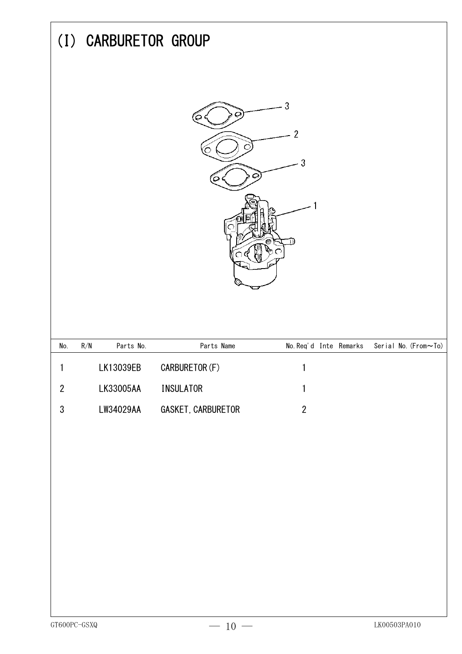|                  | (I) CARBURETOR GROUP                 |                    |                                     |                      |
|------------------|--------------------------------------|--------------------|-------------------------------------|----------------------|
|                  |                                      | Ç<br>Õ.<br>o       | 3<br>$\overline{2}$<br>3<br>$\circ$ |                      |
| No.              | $\mathsf{R}/\mathsf{N}$<br>Parts No. | Parts Name         | No. Req'd Inte Remarks              | Serial No. (From~To) |
| 1                | LK13039EB                            | CARBURETOR (F)     | 1                                   |                      |
| $\boldsymbol{2}$ | LK33005AA                            | <b>INSULATOR</b>   | 1                                   |                      |
| $\sqrt{3}$       | LW34029AA                            | GASKET, CARBURETOR | $\mathbf{2}$                        |                      |
|                  |                                      |                    |                                     |                      |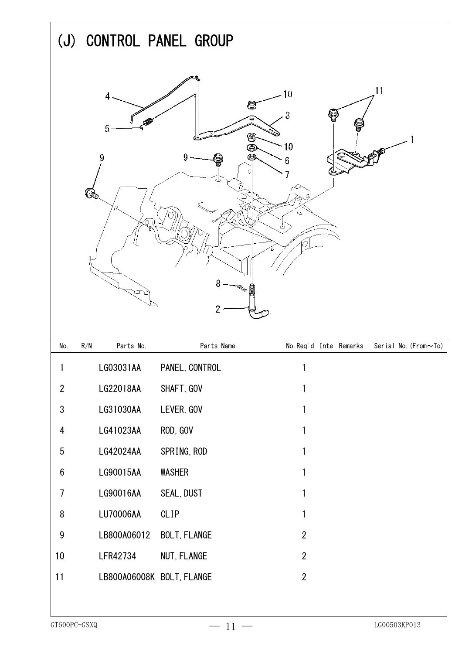|                         | (J) CONTROL PANEL GROUP                         |                     |                                                                    |   |                      |
|-------------------------|-------------------------------------------------|---------------------|--------------------------------------------------------------------|---|----------------------|
|                         | 4<br>5<br>9<br>$\mathcal{C}_{\mathscr{P}}$<br>Ō | 9                   | 10<br>O<br>3<br>8<br>©<br>10<br>Ó<br>6<br>Ó<br>8<br>$\overline{c}$ | ¥ | 11                   |
| No.                     | Parts No.<br>R/N                                |                     | Parts Name<br>No. Req'd Inte Remarks                               |   | Serial No. (From~To) |
| 1                       | LG03031AA                                       | PANEL, CONTROL      | 1                                                                  |   |                      |
| $\overline{2}$          | LG22018AA                                       | SHAFT, GOV          | 1                                                                  |   |                      |
| $\sqrt{3}$              | LG31030AA                                       | LEVER, GOV          | 1                                                                  |   |                      |
| $\overline{\mathbf{4}}$ | LG41023AA                                       | ROD, GOV            | 1                                                                  |   |                      |
| $\sqrt{5}$              | LG42024AA                                       | SPRING, ROD         | 1                                                                  |   |                      |
| $\boldsymbol{6}$        | LG90015AA                                       | <b>WASHER</b>       | 1                                                                  |   |                      |
| $\overline{1}$          | LG90016AA                                       | SEAL, DUST          | 1                                                                  |   |                      |
| $\, 8$                  | LU70006AA                                       | <b>CLIP</b>         | 1                                                                  |   |                      |
| $\boldsymbol{9}$        | LB800A06012                                     | <b>BOLT, FLANGE</b> | $\overline{2}$                                                     |   |                      |
| $10$                    | LFR42734                                        | NUT, FLANGE         | $\overline{2}$                                                     |   |                      |
| 11                      | LB800A06008K BOLT, FLANGE                       |                     | $\mathbf{2}$                                                       |   |                      |
|                         |                                                 |                     |                                                                    |   |                      |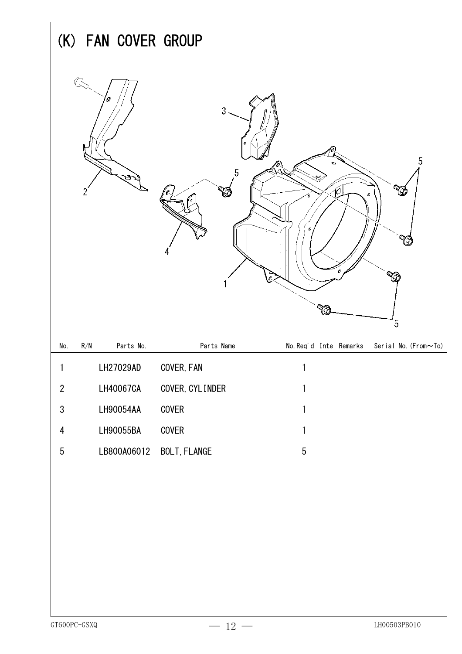|                         | (K) FAN COVER GROUP |                              |                                                                                                                     |  |  |
|-------------------------|---------------------|------------------------------|---------------------------------------------------------------------------------------------------------------------|--|--|
|                         | o<br>2              | $\overline{3}$<br>$\sqrt{5}$ | o<br>5<br>$\mathbf{e}% _{T}^{(t)}\mathbf{v}^{T}$<br>Vð<br>Ó.<br>c<br>$\mathcal{Q}_{\zeta \gamma}$<br>$\overline{5}$ |  |  |
| No.                     | R/N<br>Parts No.    | Parts Name                   | No. Req'd Inte Remarks<br>Serial No. (From~To)                                                                      |  |  |
| 1                       | LH27029AD           | COVER, FAN                   | $\mathbf{1}$                                                                                                        |  |  |
| $\overline{2}$          | LH40067CA           | COVER, CYLINDER              | 1                                                                                                                   |  |  |
| $\sqrt{3}$              | LH90054AA           | COVER                        | 1                                                                                                                   |  |  |
| $\overline{\mathbf{4}}$ | LH90055BA           | COVER                        | 1                                                                                                                   |  |  |
| $\sqrt{5}$              | LB800A06012         | <b>BOLT, FLANGE</b>          | $5\phantom{.0}$                                                                                                     |  |  |
| GT600PC-GSXQ            |                     | $12 -$                       | LH00503PB010                                                                                                        |  |  |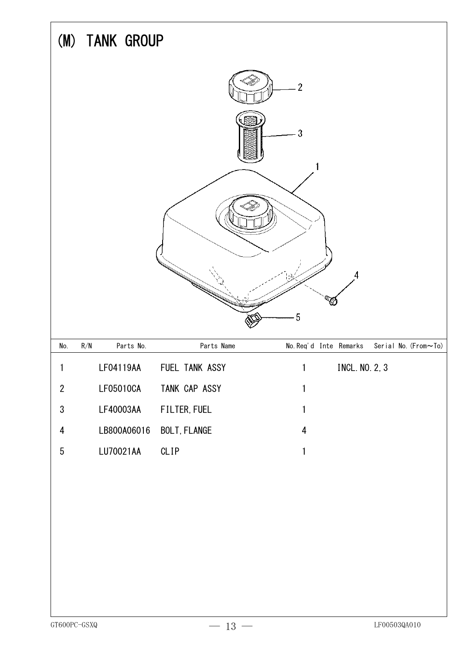|                         | (M) TANK GROUP                       |                     |                                                |
|-------------------------|--------------------------------------|---------------------|------------------------------------------------|
|                         |                                      |                     | $\overline{2}$                                 |
|                         |                                      |                     | 3                                              |
|                         |                                      |                     |                                                |
|                         |                                      |                     |                                                |
|                         |                                      |                     | 4                                              |
|                         |                                      |                     |                                                |
|                         |                                      |                     | 5                                              |
| No.                     | $\mathsf{R}/\mathsf{N}$<br>Parts No. | Parts Name          | No. Req'd Inte Remarks<br>Serial No. (From~To) |
| 1                       | LF04119AA                            | FUEL TANK ASSY      | <b>INCL. NO. 2, 3</b><br>1                     |
| $\overline{2}$          | LF05010CA                            | TANK CAP ASSY       | 1                                              |
| $\sqrt{3}$              | LF40003AA                            | FILTER, FUEL        | 1                                              |
| $\overline{\mathbf{4}}$ | LB800A06016                          | <b>BOLT, FLANGE</b> | $\overline{4}$                                 |
| $\sqrt{5}$              | LU70021AA                            | CLIP                | 1                                              |
|                         |                                      |                     |                                                |
|                         |                                      |                     |                                                |
|                         |                                      |                     |                                                |
|                         |                                      |                     |                                                |
|                         |                                      |                     |                                                |
|                         |                                      |                     |                                                |
|                         |                                      |                     |                                                |
| GT600PC-GSXQ            |                                      | 13                  | LF00503QA010                                   |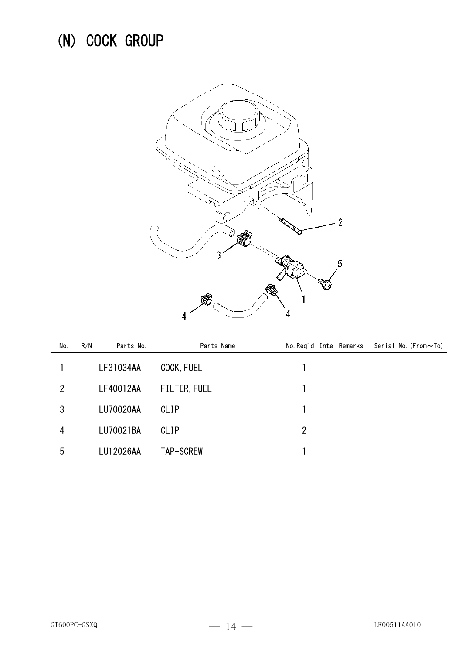|                | (N) COCK GROUP                       |                     |                          |                      |
|----------------|--------------------------------------|---------------------|--------------------------|----------------------|
|                |                                      | K)<br>3<br>87<br>4  | $\overline{2}$<br>5<br>4 |                      |
| No.            | $\mathsf{R}/\mathsf{N}$<br>Parts No. | Parts Name          | No. Req'd Inte Remarks   | Serial No. (From~To) |
| 1              | LF31034AA                            | COCK, FUEL          | 1                        |                      |
| $\sqrt{2}$     | LF40012AA                            | <b>FILTER, FUEL</b> | 1                        |                      |
| $\mathfrak{S}$ | LU70020AA                            | CLIP                | 1                        |                      |
| 4              | LU70021BA                            | CLIP                | $\mathbf{2}$             |                      |
| $\sqrt{5}$     | LU12026AA                            | TAP-SCREW           | 1                        |                      |
|                |                                      |                     |                          |                      |
| GT600PC-GSXQ   |                                      | $-14-$              |                          | $\rm LF00511AA010$   |

 $\Gamma$ 

 $\overline{\mathbf{1}}$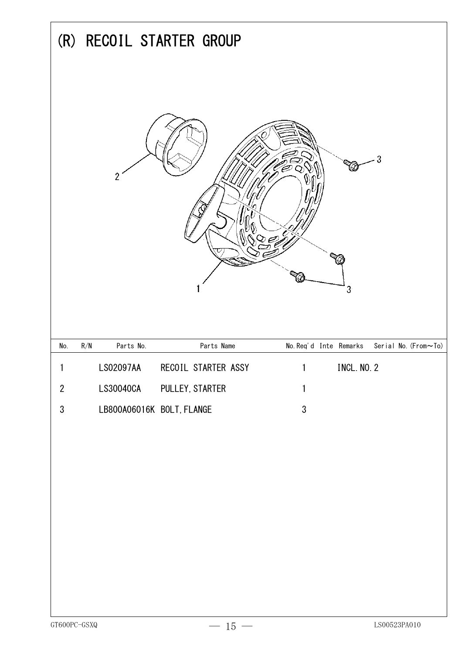| (R)              |                                      | RECOIL STARTER GROUP |                        |                    |                      |
|------------------|--------------------------------------|----------------------|------------------------|--------------------|----------------------|
|                  | $\overline{2}$                       |                      |                        | 3 <sup>°</sup>     | 3                    |
| No.              | $\mathsf{R}/\mathsf{N}$<br>Parts No. | Parts Name           | No. Req'd Inte Remarks |                    | Serial No. (From~To) |
| 1                | LS02097AA                            | RECOIL STARTER ASSY  |                        | <b>INCL. NO. 2</b> |                      |
| $\boldsymbol{2}$ | LS30040CA                            | PULLEY, STARTER      | 1                      |                    |                      |
| $\sqrt{3}$       | LB800A06016K BOLT, FLANGE            |                      | $\sqrt{3}$             |                    |                      |
|                  |                                      |                      |                        |                    |                      |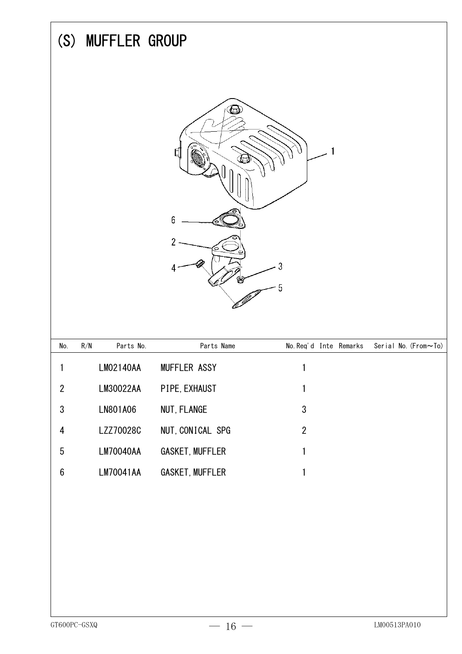|                         | (S) MUFFLER GROUP                    |                                    |                        |                      |
|-------------------------|--------------------------------------|------------------------------------|------------------------|----------------------|
|                         |                                      | ⅏<br>₫<br>6<br>$\overline{2}$<br>4 | ?<br>5                 |                      |
| No.                     | $\mathsf{R}/\mathsf{N}$<br>Parts No. | Parts Name                         | No. Req'd Inte Remarks | Serial No. (From~To) |
| 1                       | LM02140AA                            | MUFFLER ASSY                       | $\mathbf{1}$           |                      |
| $\overline{2}$          | LM30022AA                            | PIPE, EXHAUST                      | $\mathbf{1}$           |                      |
| $\sqrt{3}$              | LN801A06                             | NUT, FLANGE                        | $\sqrt{3}$             |                      |
| $\overline{\mathbf{4}}$ | LZZ70028C                            | NUT, CONICAL SPG                   | $\sqrt{2}$             |                      |
| $\sqrt{5}$              | <b>LM70040AA</b>                     | <b>GASKET, MUFFLER</b>             | 1                      |                      |
| $\boldsymbol{6}$        | LM70041AA                            | <b>GASKET, MUFFLER</b>             | 1                      |                      |
| GT600PC-GSXQ            |                                      | $16 -$                             |                        | LM00513PA010         |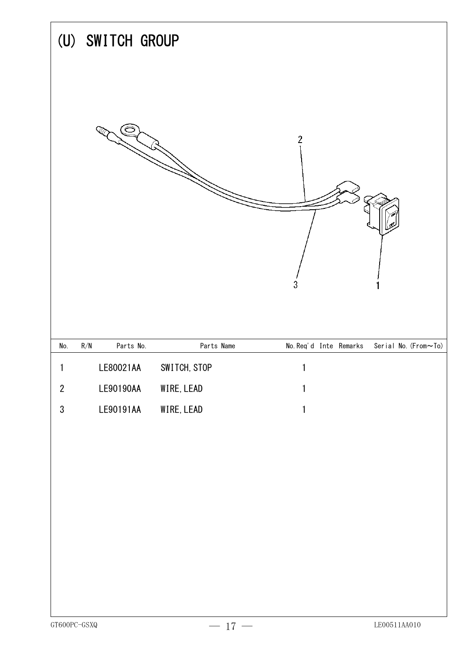|                  | (U) SWITCH GROUP                     |              |                                                |
|------------------|--------------------------------------|--------------|------------------------------------------------|
|                  |                                      |              | $\boldsymbol{2}$<br>$\sqrt{3}$                 |
| No.              | $\mathsf{R}/\mathsf{N}$<br>Parts No. | Parts Name   | No. Req'd Inte Remarks<br>Serial No. (From~To) |
| 1                | LE80021AA                            | SWITCH, STOP | 1                                              |
| $\boldsymbol{2}$ | LE90190AA                            | WIRE, LEAD   | 1                                              |
| $\mathfrak{S}$   | LE90191AA                            | WIRE, LEAD   | 1                                              |
|                  |                                      |              |                                                |

 $\overline{1}$ 

 $\overline{\phantom{a}}$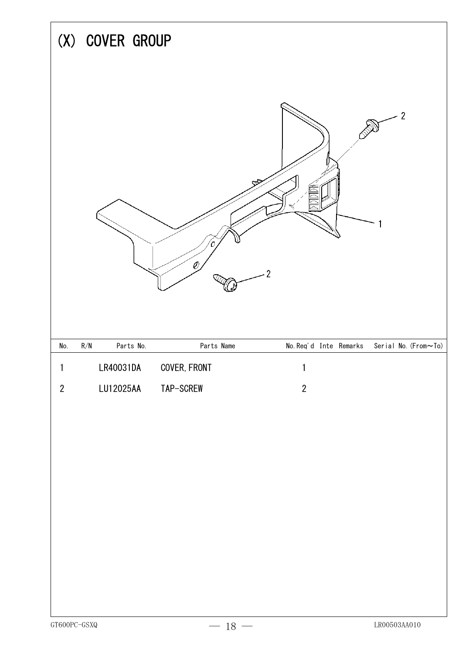| (X) COVER GROUP                             |               |                                             |
|---------------------------------------------|---------------|---------------------------------------------|
|                                             | $\mathscr{O}$ | $\overline{2}$<br>ঔ<br>$\overline{2}$       |
| $\mathsf{R}/\mathsf{N}$<br>Parts No.<br>No. | Parts Name    | No. Req'd Inte Remarks Serial No. (From~To) |
| LR40031DA<br>1                              | COVER, FRONT  | $\mathbf{1}$                                |
| LU12025AA<br>$\sqrt{2}$                     | TAP-SCREW     | $\sqrt{2}$                                  |
|                                             |               |                                             |
|                                             |               |                                             |
|                                             |               |                                             |
| ${\tt GT600PC\text{--}GSXQ}$                | $-$ 18 $-$    | ${\rm LRO0503AA010}$                        |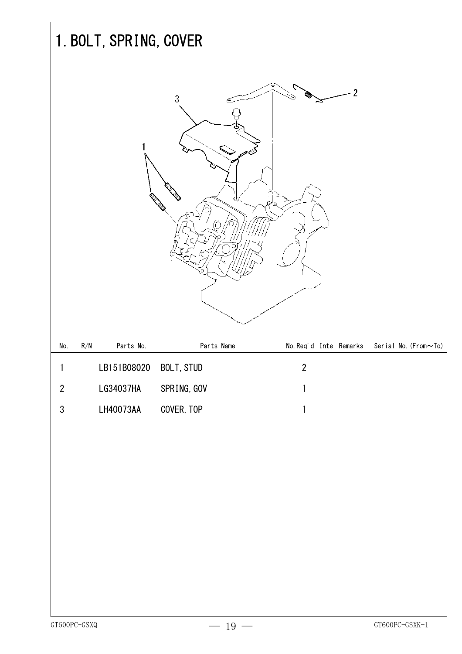|            | 1. BOLT, SPRING, COVER               |                |                        |                      |
|------------|--------------------------------------|----------------|------------------------|----------------------|
|            |                                      | $\mathfrak{Z}$ | $\overline{2}$<br>Ω    |                      |
| No.        | Parts No.<br>$\mathsf{R}/\mathsf{N}$ | Parts Name     | No. Req'd Inte Remarks | Serial No. (From~To) |
| 1          | LB151B08020                          | BOLT, STUD     | $\overline{2}$         |                      |
| $\sqrt{2}$ | LG34037HA                            | SPRING, GOV    | 1                      |                      |
| $\sqrt{3}$ | LH40073AA                            | COVER, TOP     | 1                      |                      |
|            |                                      |                |                        |                      |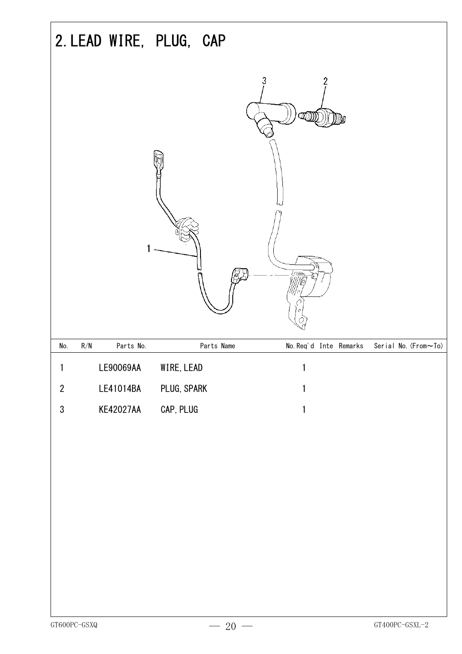|                  |                                      | 2. LEAD WIRE, PLUG, CAP |                                                |
|------------------|--------------------------------------|-------------------------|------------------------------------------------|
|                  |                                      |                         | 3<br>2                                         |
| No.              | $\mathsf{R}/\mathsf{N}$<br>Parts No. | Parts Name              | No. Req'd Inte Remarks<br>Serial No. (From~To) |
|                  | LE90069AA                            | WIRE, LEAD              |                                                |
| $\boldsymbol{2}$ | LE41014BA                            | PLUG, SPARK             | 1                                              |
| $\mathfrak{S}$   | <b>KE42027AA</b>                     | CAP, PLUG               | 1                                              |
|                  |                                      |                         |                                                |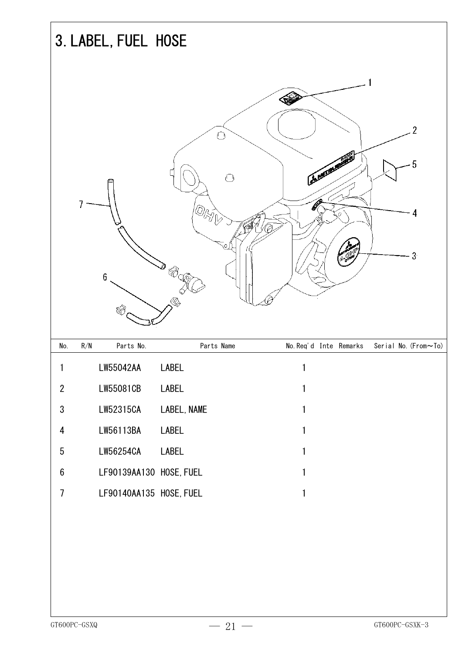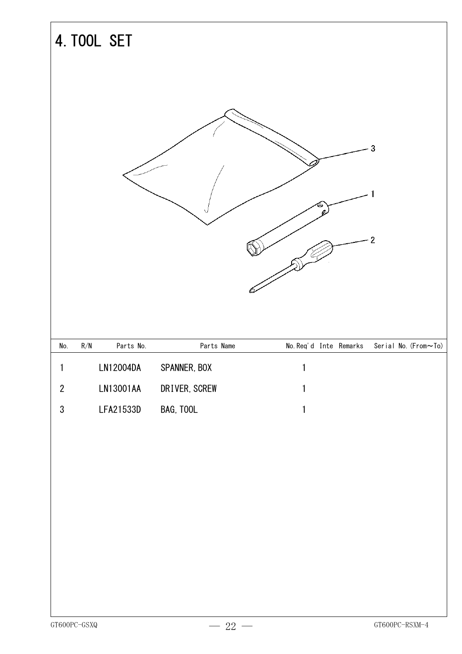|                  | <b>4. TOOL SET</b>                   |               |                        |                               |
|------------------|--------------------------------------|---------------|------------------------|-------------------------------|
|                  |                                      |               |                        | 3<br>$\overline{2}$           |
| No.              | $\mathsf{R}/\mathsf{N}$<br>Parts No. | Parts Name    | No. Req'd Inte Remarks | Serial No. ( $From \sim To$ ) |
| 1                | LN12004DA                            | SPANNER, BOX  | 1                      |                               |
| $\sqrt{2}$       | LN13001AA                            | DRIVER, SCREW | $\mathbf{1}$           |                               |
| $\boldsymbol{3}$ | LFA21533D                            | BAG, TOOL     | 1                      |                               |
|                  |                                      |               |                        |                               |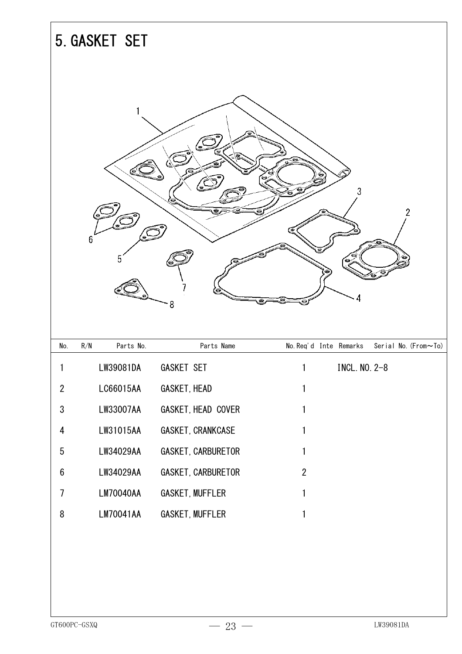|                  | 5. GASKET SET    |                        |                                                |
|------------------|------------------|------------------------|------------------------------------------------|
|                  | 1<br>6<br>h      | 8                      | £à<br>3<br>$\overline{2}$<br>نت<br>4           |
| No.              | Parts No.<br>R/N | Parts Name             | No. Req'd Inte Remarks<br>Serial No. (From~To) |
| 1                | LW39081DA        | GASKET SET             | INCL. NO. 2-8                                  |
| $\mathbf{2}$     | LC66015AA        | GASKET, HEAD           | 1                                              |
| $\sqrt{3}$       | LW33007AA        | GASKET, HEAD COVER     | 1                                              |
| 4                | LW31015AA        | GASKET, CRANKCASE      | 1                                              |
| $\sqrt{5}$       | LW34029AA        | GASKET, CARBURETOR     | 1                                              |
| $\boldsymbol{6}$ | LW34029AA        | GASKET, CARBURETOR     | $\overline{2}$                                 |
| $\overline{7}$   | <b>LM70040AA</b> | <b>GASKET, MUFFLER</b> | 1                                              |
| 8                | LM70041AA        | <b>GASKET, MUFFLER</b> | 1                                              |
|                  |                  |                        |                                                |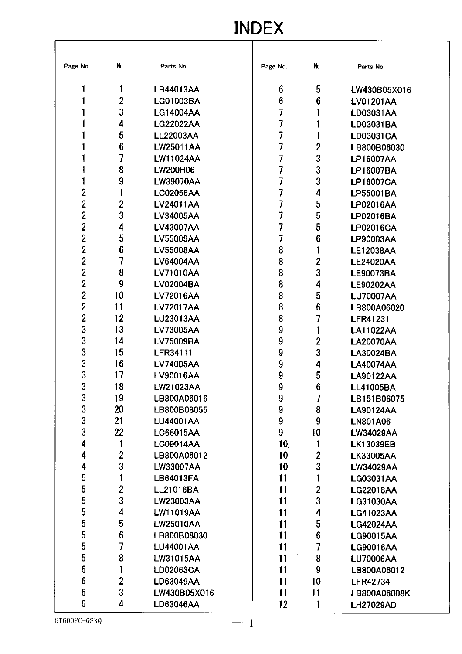## **INDEX**

| Page No.        | No.            | Parts No.        | Page No.        | No.              | Parts No         |
|-----------------|----------------|------------------|-----------------|------------------|------------------|
|                 |                | LB44013AA        | 6               | 5                | LW430B05X016     |
|                 | 2              | LG01003BA        | 6               | 6                | LV01201AA        |
|                 | 3              | <b>LG14004AA</b> |                 |                  | LD03031AA        |
|                 | 4              | <b>LG22022AA</b> | 7               |                  | LD03031BA        |
|                 | 5              | <b>LL22003AA</b> | 7               |                  | LD03031CA        |
|                 | 6              | <b>LW25011AA</b> | 7               | 2                | LB800B06030      |
|                 | 7              | LW11024AA        | 7               | 3                | LP16007AA        |
|                 | 8              | LW200H06         | 7               | 3                | LP16007BA        |
|                 | 9              | <b>LW39070AA</b> | 7               | 3                | LP16007CA        |
| $\overline{c}$  |                | LC02056AA        | 7               | 4                | LP55001BA        |
| $\overline{2}$  | 2              | LV24011AA        | 7               | 5                | LP02016AA        |
| $\overline{2}$  | 3              | LV34005AA        |                 | 5                | LP02016BA        |
| $\overline{2}$  | 4              | LV43007AA        |                 | 5                | <b>LP02016CA</b> |
| $\overline{2}$  | 5              | <b>LV55009AA</b> | 7               | 6                | LP90003AA        |
| $\overline{2}$  | 6              | <b>LV55008AA</b> | 8               |                  | <b>LE12038AA</b> |
| $\overline{2}$  | 7              | LV64004AA        | 8               | $\overline{2}$   | <b>LE24020AA</b> |
| $\overline{2}$  | 8              | <b>LV71010AA</b> | 8               | 3                | <b>LE90073BA</b> |
| $\overline{2}$  | 9              | LV02004BA        | 8               | 4                | <b>LE90202AA</b> |
| $\overline{2}$  | 10             | <b>LV72016AA</b> | 8               | 5                | <b>LU70007AA</b> |
| $\overline{2}$  | 11             | <b>LV72017AA</b> | 8               | 6                | LB800A06020      |
| $\overline{c}$  | 12             | <b>LU23013AA</b> | 8               |                  | <b>LFR41231</b>  |
| 3               | 13             | LV73005AA        | 9               |                  | <b>LA11022AA</b> |
| 3               | 14             | LV75009BA        | 9               | 2                | <b>LA20070AA</b> |
| 3               | 15             | LFR34111         | 9               | 3                | LA30024BA        |
| 3               | 16             | LV74005AA        | 9               | 4                | <b>LA40074AA</b> |
| 3               | 17             | LV90016AA        | 9               | 5                | <b>LA90122AA</b> |
| 3               | 18             | LW21023AA        | 9               | 6                | <b>LL41005BA</b> |
| 3               | 19             | B800A06016.      | g               |                  | LB151B06075      |
| 3               | 20             | LB800B08055      | 9               | 8                | LA90124AA        |
| 3               | 21             | <b>LU44001AA</b> | 9               | 9                | <b>LN801A06</b>  |
| 3               | 22             | LC66015AA        | 9               | 10               | LW34029AA        |
| 4               |                | LC09014AA        | 10 <sub>1</sub> |                  | <b>LK13039EB</b> |
| 4               | $\overline{c}$ | LB800A06012      | 10              | 2                | <b>LK33005AA</b> |
| 4               | 3              | LW33007AA        | 10              | 3                | <b>LW34029AA</b> |
| 5               |                | LB64013FA        | 11              |                  | LG03031AA        |
| 5               | $\overline{2}$ | LL21016BA        | 11              | $\overline{2}$   | <b>LG22018AA</b> |
| 5               | 3              | LW23003AA        | 11              | 3                | LG31030AA        |
| 5               | 4              | LW11019AA        | 11              | 4                | LG41023AA        |
| 5               | 5              | <b>LW25010AA</b> | 11              | 5                | <b>LG42024AA</b> |
| 5               | 6              | LB800B08030      | 11              | $\boldsymbol{6}$ | LG90015AA        |
| 5               | 7              | <b>LU44001AA</b> | 11              |                  | LG90016AA        |
| 5               | 8              | LW31015AA        | 11              | 8                | <b>LU70006AA</b> |
| $6\phantom{a}$  |                | LD02063CA        | 11              | 9                | LB800A06012      |
| $6\phantom{.}6$ | $\overline{2}$ | LD63049AA        | 11              | 10               | <b>LFR42734</b>  |
| $6\phantom{1}$  | 3              | LW430B05X016     | 11              | 11               | LB800A06008K     |
| $6\phantom{1}6$ | 4              | LD63046AA        | 12 <sub>2</sub> |                  | LH27029AD        |

 $-1-$